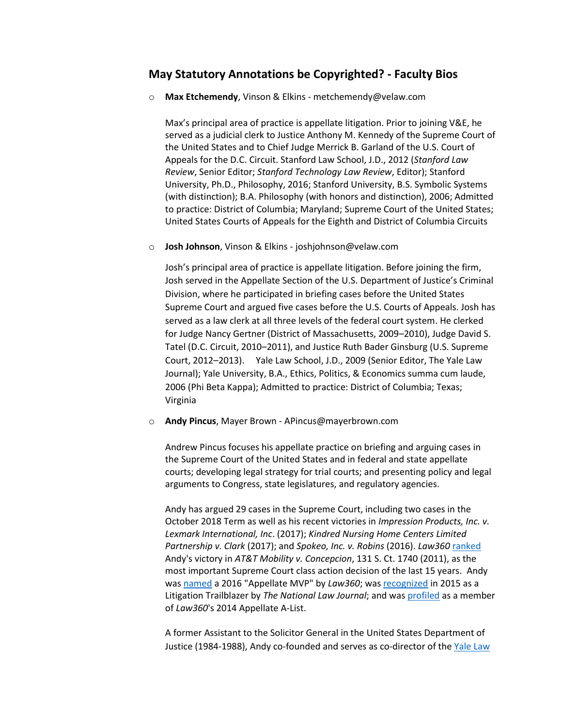## **May Statutory Annotations be Copyrighted? - Faculty Bios**

o **Max Etchemendy**, Vinson & Elkins - metchemendy@velaw.com

Max's principal area of practice is appellate litigation. Prior to joining V&E, he served as a judicial clerk to Justice Anthony M. Kennedy of the Supreme Court of the United States and to Chief Judge Merrick B. Garland of the U.S. Court of Appeals for the D.C. Circuit. Stanford Law School, J.D., 2012 (*Stanford Law Review*, Senior Editor; *Stanford Technology Law Review*, Editor); Stanford University, Ph.D., Philosophy, 2016; Stanford University, B.S. Symbolic Systems (with distinction); B.A. Philosophy (with honors and distinction), 2006; Admitted to practice: District of Columbia; Maryland; Supreme Court of the United States; United States Courts of Appeals for the Eighth and District of Columbia Circuits

o **Josh Johnson**, Vinson & Elkins - joshjohnson@velaw.com

Josh's principal area of practice is appellate litigation. Before joining the firm, Josh served in the Appellate Section of the U.S. Department of Justice's Criminal Division, where he participated in briefing cases before the United States Supreme Court and argued five cases before the U.S. Courts of Appeals. Josh has served as a law clerk at all three levels of the federal court system. He clerked for Judge Nancy Gertner (District of Massachusetts, 2009–2010), Judge David S. Tatel (D.C. Circuit, 2010–2011), and Justice Ruth Bader Ginsburg (U.S. Supreme Court, 2012–2013). Yale Law School, J.D., 2009 (Senior Editor, The Yale Law Journal); Yale University, B.A., Ethics, Politics, & Economics summa cum laude, 2006 (Phi Beta Kappa); Admitted to practice: District of Columbia; Texas; Virginia

o **Andy Pincus**, Mayer Brown - APincus@mayerbrown.com

Andrew Pincus focuses his appellate practice on briefing and arguing cases in the Supreme Court of the United States and in federal and state appellate courts; developing legal strategy for trial courts; and presenting policy and legal arguments to Congress, state legislatures, and regulatory agencies.

Andy has argued 29 cases in the Supreme Court, including two cases in the October 2018 Term as well as his recent victories in *Impression Products, Inc. v. Lexmark International, Inc*. (2017); *Kindred Nursing Home Centers Limited Partnership v. Clark* (2017); and *Spokeo, Inc. v. Robins* (2016). *Law360* [ranked](http://www.law360.com/articles/671772/top-15-high-court-class-action-rulings-of-the-past-15-years) Andy's victory in *AT&T Mobility v. Concepcion*, 131 S. Ct. 1740 (2011), as the most important Supreme Court class action decision of the last 15 years. Andy was [named](https://www.mayerbrown.com/Appellate-MVP-Mayer-Browns-Andrew-Pincus-12-07-2016/) a 2016 "Appellate MVP" by *Law360*; was [recognized](https://www.mayerbrown.com/Pincus-NLJ-Litigation-Trailblazer-2015/) in 2015 as a Litigation Trailblazer by *The National Law Journal*; and was [profiled](https://www.mayerbrown.com/files/News/f21dd698-810c-445f-a100-fa523f784226/Presentation/NewsAttachment/1ce3071e-84c3-4bd1-bd47-fe5fb807c081/Mayer%20Brown) as a member of *Law360*'s 2014 Appellate A-List.

A former Assistant to the Solicitor General in the United States Department of Justice (1984-1988), Andy co-founded and serves as co-director of the [Yale Law](http://www.yale.edu/supremecourtclinic/)